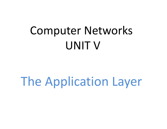# Computer NetworksUNIT V

The Application Layer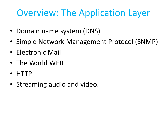# Overview: The Application Layer

- Domain name system (DNS)
- Simple Network Management Protocol (SNMP)
- Electronic Mail
- The World WEB
- HTTP
- Streaming audio and video.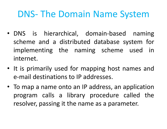- DNS is hierarchical, domain-based naming scheme and a distributed database system for<br>implays antisquable respecting ashereas used in implementing the naming scheme used in internet.
- It is primarily used for mapping host names and e-mail destinations to IP addresses.
- To map <sup>a</sup> name onto an IP address, an application program calls a library procedure called the<br>reaching peacing it the person as a person atom resolver, passing it the name as <sup>a</sup> parameter.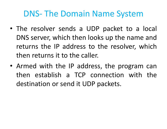- The resolver sends <sup>a</sup> UDP packet to <sup>a</sup> local DNS server, which then looks up the name and returns the IP address to the resolver, which then returns it to the caller.
- Armed with the IP address, the program can then establish <sup>a</sup> TCP connection with the destination or send it UDP packets.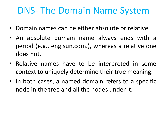- Domain names can be either absolute or relative.
- An absolute domain name always ends with <sup>a</sup> period (e.g., eng.sun.com.), whereas <sup>a</sup> relative one does not.
- Relative names have to be interpreted in some context to uniquely determine their true meaning.
- In both cases, <sup>a</sup> named domain refers to <sup>a</sup> specific node in the tree and all the nodes under it.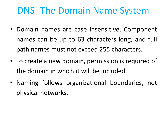- Domain names are case insensitive, Component names can be up to <sup>63</sup> characters long, and full path names must not exceed <sup>255</sup> characters.
- To create <sup>a</sup> new domain, permission is required of the domain in which it will be included.
- Naming follows organizational boundaries, not physical networks.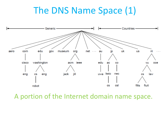# The DNS Name Space (1)



A portion of the Internet domain name space.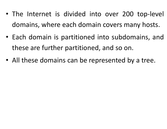- The Internet is divided into over <sup>200</sup> top-level domains, where each domain covers many hosts.
- Each domain is partitioned into subdomains, and these are further partitioned, and so on.
- All these domains can be represented by <sup>a</sup> tree.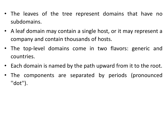- The leaves of the tree represent domains that have nosubdomains.
- <sup>A</sup> leaf domain may contain <sup>a</sup> single host, or it may represent <sup>a</sup> company and contain thousands of hosts.
- The top-level domains come in two flavors: generic andcountries.
- Each domain is named by the path upward from it to the root.
- The components are separated by periods (pronounced''dot'').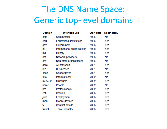# The DNS Name Space: Generic top-level domains

| <b>Domain</b> | Intended use                    | <b>Start date</b> | <b>Restricted?</b> |
|---------------|---------------------------------|-------------------|--------------------|
| com           | Commercial                      | 1985              | No                 |
| edu           | <b>Educational institutions</b> | 1985              | Yes                |
| gov           | Government                      | 1985              | Yes                |
| int           | International organizations     | 1988              | Yes                |
| mil           | Military                        | 1985              | Yes                |
| net           | Network providers               | 1985              | <b>No</b>          |
| org           | Non-profit organizations        | 1985              | No                 |
| aero          | Air transport                   | 2001              | Yes                |
| biz           | <b>Businesses</b>               | 2001              | No                 |
| coop          | Cooperatives                    | 2001              | Yes                |
| info          | Informational                   | 2002              | No                 |
| museum        | <b>Museums</b>                  | 2002              | Yes                |
| name          | People                          | 2002              | No                 |
| pro           | Professionals                   | 2002              | Yes                |
| cat           | Catalan                         | 2005              | Yes                |
| jobs          | Employment                      | 2005              | Yes                |
| mobi          | Mobile devices                  | 2005              | Yes                |
| tel           | Contact details                 | 2005              | Yes                |
| travel        | <b>Travel industry</b>          | 2005              | Yes                |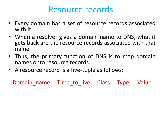#### Resource records

- Every domain has <sup>a</sup> set of resource records associatedwith it.
- When <sup>a</sup> resolver gives <sup>a</sup> domain name to DNS, what it gets back are the resource records associated with that name.
- Thus, the primary function of DNS is to map domainnames onto resource records.
- <sup>A</sup> resource record is <sup>a</sup> five-tuple as follows:

Domain name Time to live Class Type Value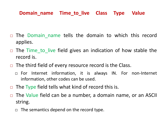#### **Domain\_name Time\_to\_live Class Type Value**

- $\Box$ The Domain name tells the domain to which this record applies.
- $\Box$ □ The Time\_to\_live field gives an indication of how stable the record is.
- $\Box$  The third field of every resource record is the Class.
	- For Internet information, it is always IN. For non-Internet information, other codes can be used.
- $\Box$ The Type field tells what kind of record this is.
- $\Box$  The Value field can be <sup>a</sup> number, <sup>a</sup> domain name, or an ASCII string.
	- $\Box$ The semantics depend on the record type.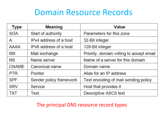# Domain Resource Records

| <b>Type</b>  | <b>Meaning</b>          | <b>Value</b>                             |
|--------------|-------------------------|------------------------------------------|
| <b>SOA</b>   | Start of authority      | Parameters for this zone                 |
| A            | IPv4 address of a host  | 32-Bit integer                           |
| <b>AAAA</b>  | IPv6 address of a host  | 128-Bit integer                          |
| <b>MX</b>    | Mail exchange           | Priority, domain willing to accept email |
| <b>NS</b>    | Name server             | Name of a server for this domain         |
| <b>CNAME</b> | Canonical name          | Domain name                              |
| <b>PTR</b>   | Pointer                 | Alias for an IP address                  |
| <b>SPF</b>   | Sender policy framework | Text encoding of mail sending policy     |
| <b>SRV</b>   | <b>Service</b>          | Host that provides it                    |
| TXT          | Text                    | <b>Descriptive ASCII text</b>            |

#### The principal DNS resource record types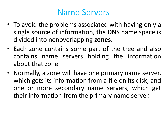## Name Servers

- To avoid the problems associated with having only <sup>a</sup> single source of information, the DNS name space is divided into nonoverlapping **zones**.
- Each zone contains some part of the tree and also contains name servers holding the informationabout that zone.
- Normally, <sup>a</sup> zone will have one primary name server, which gets its information from a file on its disk, and<br>one\_or\_more\_secondary\_name\_servers\_which\_got one or more secondary name servers, which get their information from the primary name server.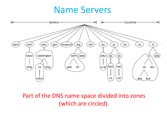## Name Servers



#### Part of the DNS name space divided into zones (which are circled).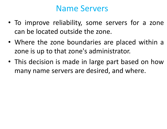#### Name Servers

- To improve reliability, some servers for <sup>a</sup> zone can be located outside the zone.
- Where the zone boundaries are placed within <sup>a</sup> zone is up to that zone's administrator.
- This decision is made in large part based on howmany name servers are desired, and where.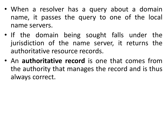- When <sup>a</sup> resolver has <sup>a</sup> query about <sup>a</sup> domain name, it passes the query to one of the local name servers.
- If the domain being sought falls under the jurisdiction of the name server, it returns the authoritative resource records.
- An **authoritative record** is one that comes fromthe authority that manages the record and is thus always correct.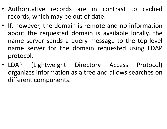- Authoritative records are in contrast to cached records, which may be out of date.
- If, however, the domain is remote and no information about the requested domain is available locally, the name server sends a query message to the top-level name server for the domain requested using LDAP protocol.
- LDAP (Lightweight Directory Access Protocol) organizes information as <sup>a</sup> tree and allows searches on different components.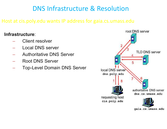#### DNS Infrastructure & Resolution

#### Host at cis.poly.edu wants IP address for gaia.cs.umass.edu

#### **Infrastructure**:

- Client resolver
- Local DNS server
- Authoritative DNS Server
- Root DNS Server
- Top-Level Domain DNS Server

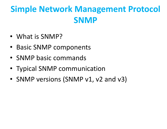# **Simple Network Management ProtocolSNMP**

- What is SNMP?
- Basic SNMP components
- SNMP basic commands
- Typical SNMP communication
- SNMP versions (SNMP v1, v2 and v3)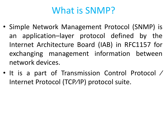# What is SNMP?

- Simple Network Management Protocol (SNMP) is an application–layer protocol defined by the Internet Architecture Board (IAB) in RFC1157 for exchanging management information between network devices.
- It is <sup>a</sup> part of Transmission Control Protocol <sup>⁄</sup> Internet Protocol (TCP⁄IP) protocol suite.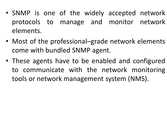- SNMP is one of the widely accepted network protocols to manage and monitor network elements.
- Most of the professional–grade network elements come with bundled SNMP agent.
- These agents have to be enabled and configured to communicate with the network monitoring tools or network management system (NMS).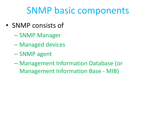# SNMP basic components

- SNMP consists of
	- $\mathcal{L}_{\mathcal{A}}$  , where  $\mathcal{L}_{\mathcal{A}}$  is the set of the set of the set of the set of the set of the set of the set of the set of the set of the set of the set of the set of the set of the set of the set of the set of the - SNMP Manager
	- $\mathcal{L}_{\mathcal{A}}$  , where  $\mathcal{L}_{\mathcal{A}}$  is the set of the set of the set of the set of the set of the set of the set of the set of the set of the set of the set of the set of the set of the set of the set of the set of the Managed devices
	- – $-$  SNMP agent
	- $\mathcal{L}_{\mathcal{A}}$  , where  $\mathcal{L}_{\mathcal{A}}$  is the set of the set of the set of the set of the set of the set of the set of the set of the set of the set of the set of the set of the set of the set of the set of the set of the Management Information Database (or Management Information Base - MIB)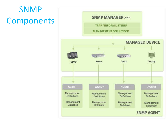# **SNMP** Components

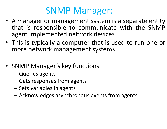# SNMP Manager:

- A manager or management system is a separate entity<br>that is responsible to communicate with the SNMP that is responsible to communicate with the SNMP agent implemented network devices.
- This is typically <sup>a</sup> computer that is used to run one or more network management systems.
- SNMP Manager's key functions
	- –— Queries agents
	- Gets responses from agents<br>Cets resisting in againta
	- –– Sets variables in agents
	- –Acknowledges asynchronous events from agents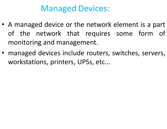## Managed Devices:

- <sup>A</sup> managed device or the network element is <sup>a</sup> part of the network that requires some form of<br>reactioning and reasoners ant monitoring and management.
- managed devices include routers, switches, servers, workstations, printers, UPSs, etc...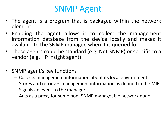### SNMP Agent:

- The agent is <sup>a</sup> program that is packaged within the network element.
- Enabling the agent allows it to collect the management information database from the device locally and makes it<br>available to the SNMP manager when it is queried for available to the SNMP manager, when it is queried for.
- These agents could be standard (e.g. Net-SNMP) or specific to a vendor (e.g. HP insight agent)
- SNMP agent's key functions
	- Collects management information about its local environment
	- $-$  Stores and retrieves management information as defined in the MIB.
	- $-$  Signals an event to the manager.
	- Acts as <sup>a</sup> proxy for some non–SNMP manageable network node.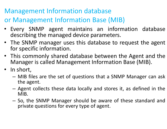#### Management Information database

#### or Management Information Base (MIB)

- Every SNMP agent maintains an information database describing the managed device parameters.
- The SNMP manager uses this database to request the agent for specific information.
- This commonly shared database between the Agent and the Manager is called Management Information Base (MIB).
- In short,
	- –– MIB files are the set of questions that a SNMP Manager can ask the agent.
	- –– Agent collects these data locally and stores it, as defined in the MIB.
	- –- So, the SNMP Manager should be aware of these standard and private questions for every type of agent.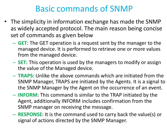### Basic commands of SNMP

- The simplicity in information exchange has made the SNMP as widely accepted protocol. The main reason being concise set of commands as given below
	- $-$  GFT: The GET aneration is a req **GET**: The GET operation is a request sent by the manager to the managed device. It is performed to retrieve one or more values from the managed device.
	- $\mathcal{L}_{\mathcal{A}}$  , where  $\mathcal{L}_{\mathcal{A}}$  is the set of the set of the set of the set of the set of the set of the set of the set of the set of the set of the set of the set of the set of the set of the set of the set of the **SET**: This operation is used by the managers to modify or assign the value of the Managed device.
	- **TRAPS**: Unlike the above commands which are initiated from the SNMP Manager, TRAPS are initiated by the Agents. It is a signal to the SNMP Manager by the Agent on the occurrence of an event.
	- $\mathcal{L}_{\mathcal{A}}$  , where  $\mathcal{L}_{\mathcal{A}}$  is the set of the set of the set of the set of the set of the set of the set of the set of the set of the set of the set of the set of the set of the set of the set of the set of the **INFORM**: This command is similar to the TRAP initiated by the Agent, additionally INFORM includes confirmation from the SNMP manager on receiving the message.
	- **RESPONSE**: It is the command used to carry back the value(s) or signal of actions directed by the SNMP Manager.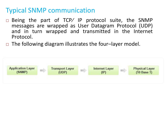#### Typical SNMP communication

- □ Being the part of TCP/ IP protocol suite, the SNMP messages are wrapped as User Datagram Protocol (UDP)<br>and in turn wranned and transmitted in the Internet and in turn wrapped and transmitted in the Internet Protocol.
- □ The following diagram illustrates the four–layer model.

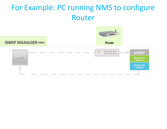#### For Example: PC running NMS to configure Router

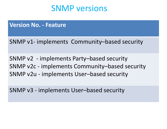#### SNMP versions

#### **Version No. - Feature**

SNMP v1- implements Community–based security

SNMP v2 - implements Party–based security SNMP v2c - implements Community–based security SNMP v2u - implements User–based security

SNMP v3 - implements User–based security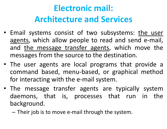# **Electronic mail: Architecture and Services**

- Email systems consist of two subsystems: the user agents, which allow people to read and send e-mail, and the message transfer agents, which move the messages from the source to the destination.<br>--
- The user agents are local programs that provide <sup>a</sup> command based, menu-based, or graphical method for interacting with the e-mail system.
- The message transfer agents are typically systemdaemons, that is, processes that run in the background.
	- – $-$  Their job is to move e-mail through the system.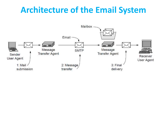## **Architecture of the Email System**

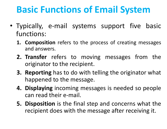# **Basic Functions of Email System**

- Typically, e-mail systems support five basic functions:
	- **1. Composition** refers to the process of creating messages and answers.
	- **2. Transfer** refers to moving messages from the<br>
	originator to the recipient originator to the recipient.
	- **3. Reporting** has to do with telling the originator what happened to the message.
	- **4. Displaying** incoming messages is needed so people can read their e-mail.
	- **5. Disposition** is the final step and concerns what the recipient does with the message after receiving it.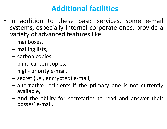#### **Additional facilities**

- In addition to these basic services, some e-mail systems, especially internal corporate ones, provide avariety of advanced features like
	- –mailboxes,
	- –— mailing lists,
	- –— carbon copies,
	- –— blind carbon copies,
	- –— high- priority e-mail,
	- –secret (i.e., encrypted) e-mail,
	- –- alternative recipients if the primary one is not currently available,
	- –- And the ability for secretaries to read and answer their bosses' e-mail.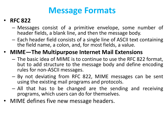# **Message Formats**

#### •**RFC <sup>822</sup>**

- Messages consist of a primitive envelope, some number of header fields, <sup>a</sup> blank line, and then the message body.
- Each header field consists of a single line of ASCII text containing<br>the field name a solar and for meat fields a value the field name, <sup>a</sup> colon, and, for most fields, <sup>a</sup> value.
- **MIME—The Multipurpose Internet Mail Extensions**
	- –The basic idea of MIME is to continue to use the RFC 822 format, but to add structure to the message body and define encoding rules for non-ASCII messages.
	- By not deviating from RFC 822, MIME messages can be sent<br>using the existing mail programs and protocols using the existing mail programs and protocols.
	- All that has to be changed are the sending and receiving programs, which users can do for themselves.
- MIME defines five new message headers.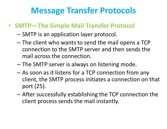# **Message Transfer Protocols**

#### • **SMTP—The Simple Mail Transfer Protocol**

- – $-$  SMTP is an application layer protocol.
- –- The client who wants to send the mail opens a TCP connection to the SMTP server and then sends the mail across the connection.
- – $-$  The SMTP server is always on listening mode.
- –- As soon as it listens for a TCP connection from any client, the SMTP process initiates a connection on that port (25).
- –- After successfully establishing the TCP connection the client process sends the mail instantly.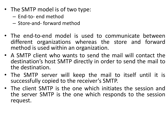- The SMTP model is of two type:
	- –— End-to- end method
	- – $-$  Store-and- forward method
- The end-to-end model is used to communicate betweendifferent organizations whereas the store and forward method is used within an organization.
- <sup>A</sup> SMTP client who wants to send the mail will contact the destination's host SMTP directly in order to send the mail tothe destination.
- The SMTP server will keep the mail to itself until it is successfully copied to the receiver's SMTP.
- The client SMTP is the one which initiates the session and the server SMTP is the one which responds to the session<br>........................ request.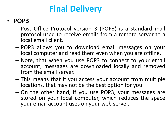# **Final Delivery**

#### • **POP3**

- – Post Office Protocol version <sup>3</sup> (POP3) is <sup>a</sup> standard mail protocol used to receive emails from a remote server to a<br>local email client local email client.
- –- POP3 allows you to download email messages on your local computer and read them even when you are offline.<br>Nata-that when you use ROD2 to connect to your exec
- –- Note, that when you use POP3 to connect to your email account, messages are downloaded locally and removedfrom the email server.<br>This measure that if you
- – This means that if you access your account from multiple locations, that may not be the best option for you.
- – On the other hand, if you use POP3, your messages are stored on your local computer, which reduces the space your email account uses on your web server.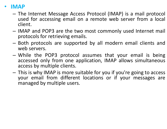#### •**IMAP**

- The Internet Message Access Protocol (IMAP) is <sup>a</sup> mail protocol used for accessing email on a remote web server from a local<br>client client.
- –- IMAP and POP3 are the two most commonly used Internet mail protocols for retrieving emails.
- –- Both protocols are supported by all modern email clients and web servers.
- –- While the POP3 protocol assumes that your email is being accessed only from one application, IMAP allows simultaneous<br>access.by.multinle.clients access by multiple clients.
- –- This is why IMAP is more suitable for you if you're going to access your email from different locations or if your messages are<br>managed by multinle users managed by multiple users.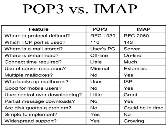# POP3 vs. IMAP

| Feature                        | POP <sub>3</sub> | <b>IMAP</b>      |
|--------------------------------|------------------|------------------|
| Where is protocol defined?     | <b>RFC 1939</b>  | <b>RFC 2060</b>  |
| Which TCP port is used?        | 110              | 143              |
| Where is e-mail stored?        | User's PC        | Server           |
| Where is e-mail read?          | Off-line         | On-line          |
| Connect time required?         | Little           | Much             |
| Use of server resources?       | Minimal          | <b>Extensive</b> |
| Multiple mailboxes?            | No.              | Yes              |
| Who backs up mailboxes?        | User             | <b>ISP</b>       |
| Good for mobile users?         | No               | Yes              |
| User control over downloading? | Little           | Great            |
| Partial message downloads?     | No               | Yes              |
| Are disk quotas a problem?     | <b>No</b>        | Could be in time |
| Simple to implement?           | Yes              | No               |
| Widespread support?            | Yes              | Growing          |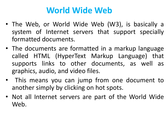# **World Wide Web**

- The Web, or World Wide Web (W3), is basically <sup>a</sup> system of Internet servers that support specially<br>formatted.documents formatted documents.
- The documents are formatted in <sup>a</sup> markup language called HTML (HyperText Markup Language) that supports links to other documents, as well as graphics, audio, and video files.
- This means you can jump from one document to<br>another simply by clicking on hot spots another simply by clicking on hot spots.
- Not all Internet servers are part of the World Wide Web.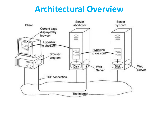### **Architectural Overview**

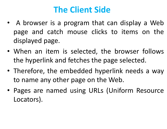# **The Client Side**

- A browser is a program that can display a Web page and catch mouse clicks to items on the displayed page.
- When an item is selected, the browser follows the hyperlink and fetches the page selected.
- Therefore, the embedded hyperlink needs <sup>a</sup> way to name any other page on the Web.
- Pages are named using URLs (Uniform Resource Locators).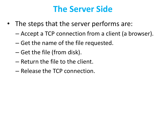## **The Server Side**

- The steps that the server performs are:
	- Accept a TCP connection from a client (a browser).
	- $-$  Get the name of the file requested.
	- – $-$  Get the file (from disk).
	- – $-$  Return the file to the client.
	- – $-$  Release the TCP connection.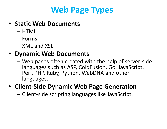# **Web Page Types**

#### • **Static Web Documents**

- – $-$  HTML
- –— Forms
- – $-$  XML and XSL

#### • **Dynamic Web Documents**

–– Web pages often created with the help of server-side<br>Leagueses such as ASD GaldFusian GaulousSerint languages such as ASP, ColdFusion, Go, JavaScript, Perl, PHP, Ruby, Python, WebDNA and other languages.

#### • **Client-Side Dynamic Web Page Generation**

 $-$  Client-side scripting languages like JavaScript.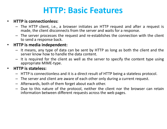## **HTTP: Basic Features**

#### •**HTTP is connectionless:**

- The HTTP client, i.e., <sup>a</sup> browser initiates an HTTP request and after <sup>a</sup> request is made, the client disconnects from the server and waits for <sup>a</sup> response.
- The server processes the request and re-establishes the connection with the client to send <sup>a</sup> response back.

#### $\bullet$ **HTTP is media independent:**

- It means, any type of data can be sent by HTTP as long as both the client and the server know how to handle the data content.
- It is required for the client as well as the server to specify the content type using appropriate MIME-type.

#### $\bullet$ **HTTP is stateless:**

- HTTP is connectionless and it is <sup>a</sup> direct result of HTTP being <sup>a</sup> stateless protocol.
- The server and client are aware of each other only during <sup>a</sup> current request.
- Afterwards, both of them forget about each other.
- Due to this nature of the protocol, neither the client nor the browser can retain<br>information between different requests expect the web negate information between different requests across the web pages.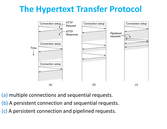# **The Hypertext Transfer Protocol**



(a) multiple connections and sequential requests.

- (b) A persistent connection and sequential requests.
- (c) A persistent connection and pipelined requests.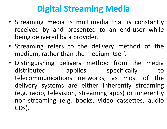# **Digital Streaming Media**

- Streaming media is multimedia that is constantly received by and presented to an end-user while being delivered by <sup>a</sup> provider.
- Streaming refers to the delivery method of the medium, rather than the medium itself.<br>Pissing in the litting of the controller set of the set of the set of the set of the set of the set of the set
- Distinguishing delivery method from the media<br>distributed applies distributed applies specifically to telecommunications networks, as most of the delivery systems are either inherently streaming (e.g. radio, television, streaming apps) or inherently non-streaming (e.g. books, video cassettes, audio CDs).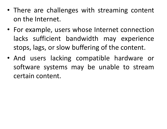- There are challenges with streaming content on the Internet.
- For example, users whose Internet connection lacks sufficient bandwidth may experience stops, lags, or slow buffering of the content.
- And users lacking compatible hardware or software systems may be unable to streamcertain content.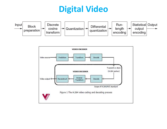# **Digital Video**

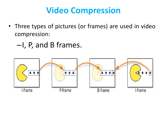# **Video Compression**

- Three types of pictures (or frames) are used in videocompression:
	- –I, P, and <sup>B</sup> frames.

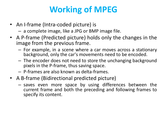# **Working of MPEG**

• An I-frame (Intra-coded picture) is

<sup>a</sup> complete image, like <sup>a</sup> JPG or BMP image file.

- <sup>A</sup> P-frame (Predicted picture) holds only the changes in the image from the previous frame.<br>Ear example, in a scene where
	- For example, in a scene where a car moves across a stationary background, only the car's movements need to be encoded.
	- The encoder does not need to store the unchanging background pixels in the P-frame, thus saving space.
	- $-$  P-frames are also known as delta-frames.
- <sup>A</sup> B-frame (Bidirectional predicted picture)
	- saves even more space by using differences between the current frame and both the preceding and following frames tospecify its content.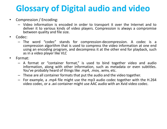# **Glossary of Digital audio and video**

- $\bullet$  Compression / Encoding:
	- Video information is encoded in order to transport it over the Internet and to deliver it to various kinds of video players. Compression is always <sup>a</sup> compromise between quality and file size.
- $\bullet$  Codec:
	- The word "codec" stands for compression-decompression. <sup>A</sup> codec is <sup>a</sup> compression algorithm that is used to compress the video information at one endusing an encoding program, and decompress it at the other end for playback, such as in <sup>a</sup> video player like VLC
- $\bullet$  Format:
	- <sup>A</sup> format or "container format," is used to bind together video and audio information, along with other information, such as metadata or even subtitles. You've probably heard of things like .mp4, .mov, .wmv, etc.
	- These are all container formats that put the audio and the video together.
	- For example, <sup>a</sup> .mp4 file might use the mp3 audio codec together with the H.264 video codec, or <sup>a</sup> .avi container might use AAC audio with an Xvid video codec.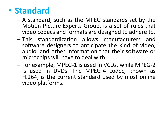#### •**Standard**

- Δ ctanda A standard, such as the MPEG standards set by the<br>Metion Picture Experts Group is a set of rules that Motion Picture Experts Group, is <sup>a</sup> set of rules that video codecs and formats are designed to adhere to.
- – This standardization allows manufacturers and software designers to anticipate the kind of video, audio, and other information that their software or microchips will have to deal with.
- – For example, MPEG-1 is used in VCDs, while MPEG-2 is used in DVDs. The MPEG-4 codec, known as H.264, is the current standard used by most online video platforms.